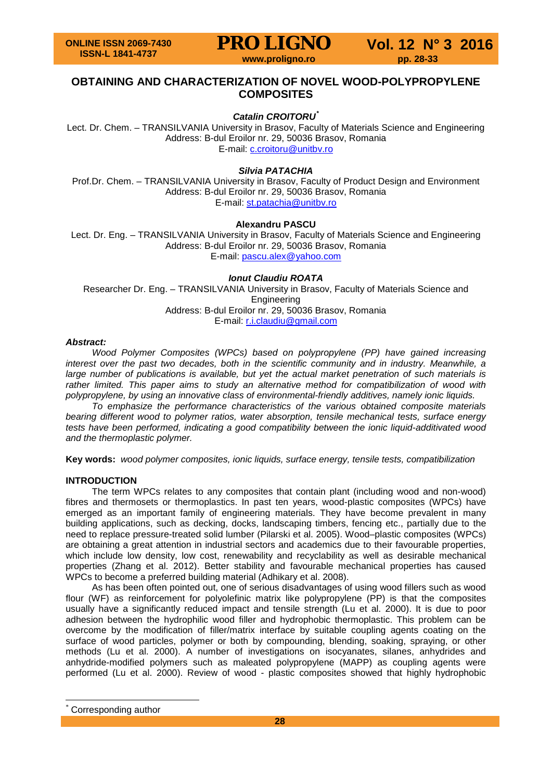## **PRO LIGNO** Vol. 12 N° 3 2016

## **OBTAINING AND CHARACTERIZATION OF NOVEL WOOD-POLYPROPYLENE COMPOSITES**

## *Catalin CROITORU[\\*](#page-0-0)*

Lect. Dr. Chem. – TRANSILVANIA University in Brasov, Faculty of Materials Science and Engineering Address: B-dul Eroilor nr. 29, 50036 Brasov, Romania E-mail: c.croitoru@unitbv.ro

## *Silvia PATACHIA*

Prof.Dr. Chem. – TRANSILVANIA University in Brasov, Faculty of Product Design and Environment Address: B-dul Eroilor nr. 29, 50036 Brasov, Romania E-mail: [st.patachia@unitbv.ro](mailto:st.patachia@unitbv.ro)

## **Alexandru PASCU**

Lect. Dr. Eng. – TRANSILVANIA University in Brasov, Faculty of Materials Science and Engineering Address: B-dul Eroilor nr. 29, 50036 Brasov, Romania E-mail: [pascu.alex@yahoo.com](mailto:pascu.alex@yahoo.com)

#### *Ionut Claudiu ROATA*

Researcher Dr. Eng. – TRANSILVANIA University in Brasov, Faculty of Materials Science and **Engineering** Address: B-dul Eroilor nr. 29, 50036 Brasov, Romania E-mail: [r.i.claudiu@gmail.com](mailto:r.i.claudiu@gmail.com)

#### *Abstract:*

*Wood Polymer Composites (WPCs) based on polypropylene (PP) have gained increasing interest over the past two decades, both in the scientific community and in industry. Meanwhile, a large number of publications is available, but yet the actual market penetration of such materials is rather limited. This paper aims to study an alternative method for compatibilization of wood with polypropylene, by using an innovative class of environmental-friendly additives, namely ionic liquids.*

*To emphasize the performance characteristics of the various obtained composite materials bearing different wood to polymer ratios, water absorption, tensile mechanical tests, surface energy tests have been performed, indicating a good compatibility between the ionic liquid-additivated wood and the thermoplastic polymer.*

**Key words:** *wood polymer composites, ionic liquids, surface energy, tensile tests, compatibilization*

## **INTRODUCTION**

The term WPCs relates to any composites that contain plant (including wood and non-wood) fibres and thermosets or thermoplastics. In past ten years, wood-plastic composites (WPCs) have emerged as an important family of engineering materials. They have become prevalent in many building applications, such as decking, docks, landscaping timbers, fencing etc., partially due to the need to replace pressure-treated solid lumber (Pilarski et al. 2005). Wood–plastic composites (WPCs) are obtaining a great attention in industrial sectors and academics due to their favourable properties, which include low density, low cost, renewability and recyclability as well as desirable mechanical properties (Zhang et al. 2012). Better stability and favourable mechanical properties has caused WPCs to become a preferred building material (Adhikary et al. 2008).

As has been often pointed out, one of serious disadvantages of using wood fillers such as wood flour (WF) as reinforcement for polyolefinic matrix like polypropylene (PP) is that the composites usually have a significantly reduced impact and tensile strength (Lu et al. 2000). It is due to poor adhesion between the hydrophilic wood filler and hydrophobic thermoplastic. This problem can be overcome by the modification of filler/matrix interface by suitable coupling agents coating on the surface of wood particles, polymer or both by compounding, blending, soaking, spraying, or other methods (Lu et al. 2000). A number of investigations on isocyanates, silanes, anhydrides and anhydride-modified polymers such as maleated polypropylene (MAPP) as coupling agents were performed (Lu et al. 2000). Review of wood - plastic composites showed that highly hydrophobic

<span id="page-0-0"></span>Corresponding author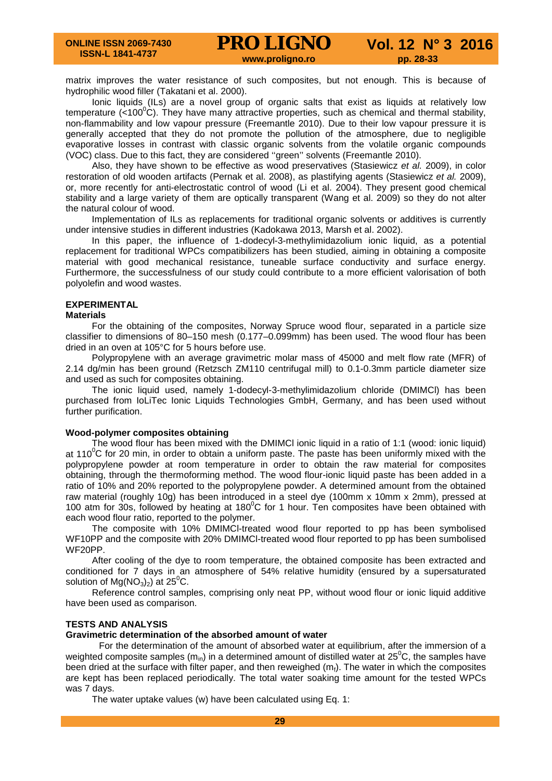matrix improves the water resistance of such composites, but not enough. This is because of hydrophilic wood filler (Takatani et al. 2000).

Ionic liquids (ILs) are a novel group of organic salts that exist as liquids at relatively low temperature (<100<sup>°</sup>C). They have many attractive properties, such as chemical and thermal stability, non-flammability and low vapour pressure (Freemantle 2010). Due to their low vapour pressure it is generally accepted that they do not promote the pollution of the atmosphere, due to negligible evaporative losses in contrast with classic organic solvents from the volatile organic compounds (VOC) class. Due to this fact, they are considered ''green'' solvents (Freemantle 2010).

Also, they have shown to be effective as wood preservatives (Stasiewicz *et al.* 2009), in color restoration of old wooden artifacts (Pernak et al. 2008), as plastifying agents (Stasiewicz *et al.* 2009), or, more recently for anti-electrostatic control of wood (Li et al. 2004). They present good chemical stability and a large variety of them are optically transparent (Wang et al. 2009) so they do not alter the natural colour of wood.

Implementation of ILs as replacements for traditional organic solvents or additives is currently under intensive studies in different industries (Kadokawa 2013, Marsh et al. 2002).

In this paper, the influence of 1-dodecyl-3-methylimidazolium ionic liquid, as a potential replacement for traditional WPCs compatibilizers has been studied, aiming in obtaining a composite material with good mechanical resistance, tuneable surface conductivity and surface energy. Furthermore, the successfulness of our study could contribute to a more efficient valorisation of both polyolefin and wood wastes.

## **EXPERIMENTAL**

#### **Materials**

For the obtaining of the composites, Norway Spruce wood flour, separated in a particle size classifier to dimensions of 80–150 mesh (0.177–0.099mm) has been used. The wood flour has been dried in an oven at 105°C for 5 hours before use.

Polypropylene with an average gravimetric molar mass of 45000 and melt flow rate (MFR) of 2.14 dg/min has been ground (Retzsch ZM110 centrifugal mill) to 0.1-0.3mm particle diameter size and used as such for composites obtaining.

The ionic liquid used, namely 1-dodecyl-3-methylimidazolium chloride (DMIMCl) has been purchased from IoLiTec Ionic Liquids Technologies GmbH, Germany, and has been used without further purification.

## **Wood-polymer composites obtaining**

The wood flour has been mixed with the DMIMCl ionic liquid in a ratio of 1:1 (wood: ionic liquid) at 110<sup>o</sup>C for 20 min, in order to obtain a uniform paste. The paste has been uniformly mixed with the polypropylene powder at room temperature in order to obtain the raw material for composites obtaining, through the thermoforming method. The wood flour-ionic liquid paste has been added in a ratio of 10% and 20% reported to the polypropylene powder. A determined amount from the obtained raw material (roughly 10g) has been introduced in a steel dye (100mm x 10mm x 2mm), pressed at 100 atm for 30s, followed by heating at 180 $^{\circ}$ C for 1 hour. Ten composites have been obtained with each wood flour ratio, reported to the polymer.

The composite with 10% DMIMCl-treated wood flour reported to pp has been symbolised WF10PP and the composite with 20% DMIMCl-treated wood flour reported to pp has been sumbolised WF20PP.

After cooling of the dye to room temperature, the obtained composite has been extracted and conditioned for 7 days in an atmosphere of 54% relative humidity (ensured by a supersaturated solution of  $Mg(NO<sub>3</sub>)<sub>2</sub>$ ) at 25<sup>°</sup>C.

Reference control samples, comprising only neat PP, without wood flour or ionic liquid additive have been used as comparison.

#### **TESTS AND ANALYSIS**

#### **Gravimetric determination of the absorbed amount of water**

For the determination of the amount of absorbed water at equilibrium, after the immersion of a weighted composite samples (m<sub>in</sub>) in a determined amount of distilled water at 25<sup>°</sup>C, the samples have been dried at the surface with filter paper, and then reweighed  $(m<sub>i</sub>)$ . The water in which the composites are kept has been replaced periodically. The total water soaking time amount for the tested WPCs was 7 days.

The water uptake values (w) have been calculated using Eq. 1: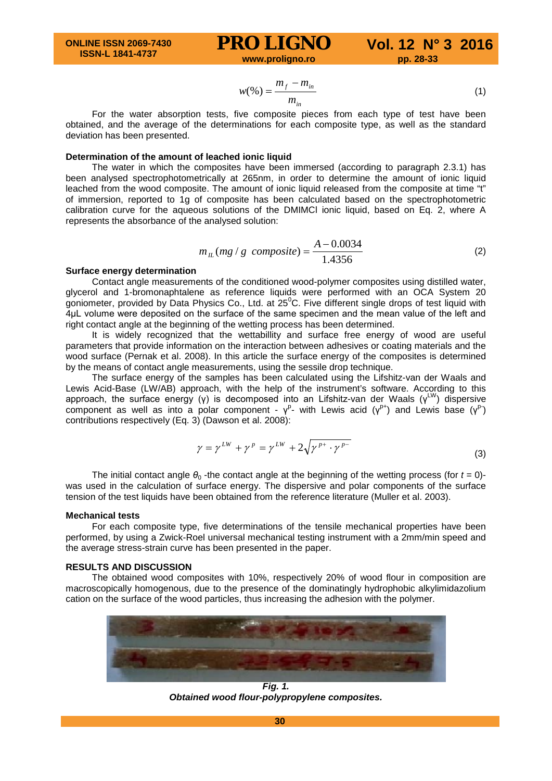# **PRO LIGNO** Vol. 12 N° 3 2016

$$
w(\%) = \frac{m_f - m_{in}}{m_{in}}
$$
 (1)

For the water absorption tests, five composite pieces from each type of test have been obtained, and the average of the determinations for each composite type, as well as the standard deviation has been presented.

## **Determination of the amount of leached ionic liquid**

The water in which the composites have been immersed (according to paragraph 2.3.1) has been analysed spectrophotometrically at 265nm, in order to determine the amount of ionic liquid leached from the wood composite. The amount of ionic liquid released from the composite at time "t" of immersion, reported to 1g of composite has been calculated based on the spectrophotometric calibration curve for the aqueous solutions of the DMIMCl ionic liquid, based on Eq. 2, where A represents the absorbance of the analysed solution:

$$
m_{IL}(mg / g \text{ composite}) = \frac{A - 0.0034}{1.4356} \tag{2}
$$

#### **Surface energy determination**

Contact angle measurements of the conditioned wood-polymer composites using distilled water, glycerol and 1-bromonaphtalene as reference liquids were performed with an OCA System 20 goniometer, provided by Data Physics Co., Ltd. at  $25^{\circ}$ C. Five different single drops of test liquid with 4μL volume were deposited on the surface of the same specimen and the mean value of the left and right contact angle at the beginning of the wetting process has been determined.

It is widely recognized that the wettabillity and surface free energy of wood are useful parameters that provide information on the interaction between adhesives or coating materials and the wood surface (Pernak et al. 2008). In this article the surface energy of the composites is determined by the means of contact angle measurements, using the sessile drop technique.

The surface energy of the samples has been calculated using the Lifshitz-van der Waals and Lewis Acid-Base (LW/AB) approach, with the help of the instrument's software. According to this approach, the surface energy (γ) is decomposed into an Lifshitz-van der Waals ( $y^{\text{LW}}$ ) dispersive component as well as into a polar component -  $\gamma^p$ - with Lewis acid ( $\gamma^{p+}$ ) and Lewis base ( $\gamma^p$ ) contributions respectively (Eq. 3) (Dawson et al. 2008):

$$
\gamma = \gamma^{LW} + \gamma^P = \gamma^{LW} + 2\sqrt{\gamma^{P^+} \cdot \gamma^{P^-}}
$$
\n(3)

The initial contact angle  $\theta_0$  -the contact angle at the beginning of the wetting process (for  $t = 0$ )was used in the calculation of surface energy. The dispersive and polar components of the surface tension of the test liquids have been obtained from the reference literature (Muller et al. 2003).

#### **Mechanical tests**

For each composite type, five determinations of the tensile mechanical properties have been performed, by using a Zwick-Roel universal mechanical testing instrument with a 2mm/min speed and the average stress-strain curve has been presented in the paper.

## **RESULTS AND DISCUSSION**

The obtained wood composites with 10%, respectively 20% of wood flour in composition are macroscopically homogenous, due to the presence of the dominatingly hydrophobic alkylimidazolium cation on the surface of the wood particles, thus increasing the adhesion with the polymer.



*Fig. 1. Obtained wood flour-polypropylene composites.*

**30**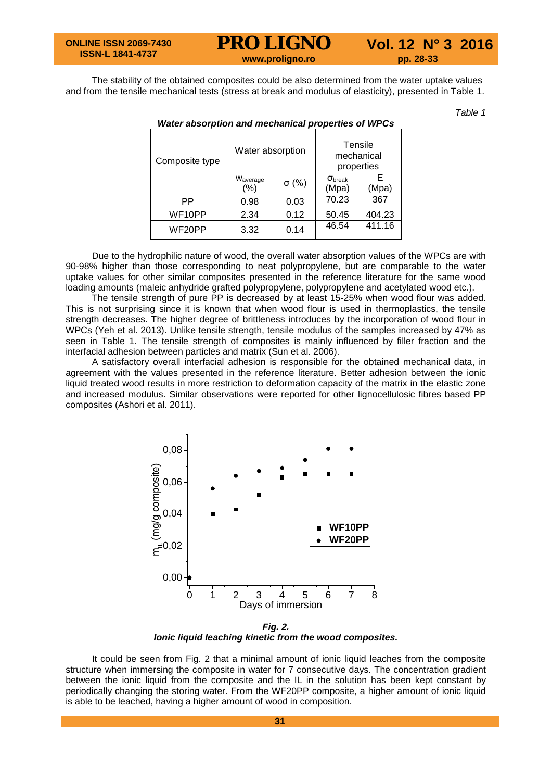## **PRO LIGNO** Vol. 12 N° 3 2016<br>www.proligno.ro pp. 28-33

The stability of the obtained composites could be also determined from the water uptake values and from the tensile mechanical tests (stress at break and modulus of elasticity), presented in Table 1.

*Table 1*

| Composite type      | Water absorption            |              | Tensile<br>mechanical<br>properties |            |
|---------------------|-----------------------------|--------------|-------------------------------------|------------|
|                     | W <sub>average</sub><br>(%) | $\sigma$ (%) | $\sigma_{\text{break}}$<br>(Mpa)    | F<br>(Mpa) |
| PP                  | 0.98                        | 0.03         | 70.23                               | 367        |
| WF <sub>10</sub> PP | 2.34                        |              | 50.45                               | 404.23     |
| WF20PP<br>3.32      |                             | 0.14         | 46.54                               | 411.16     |

#### *Water absorption and mechanical properties of WPCs*

Due to the hydrophilic nature of wood, the overall water absorption values of the WPCs are with 90-98% higher than those corresponding to neat polypropylene, but are comparable to the water uptake values for other similar composites presented in the reference literature for the same wood loading amounts (maleic anhydride grafted polypropylene, polypropylene and acetylated wood etc.).

The tensile strength of pure PP is decreased by at least 15-25% when wood flour was added. This is not surprising since it is known that when wood flour is used in thermoplastics, the tensile strength decreases. The higher degree of brittleness introduces by the incorporation of wood flour in WPCs (Yeh et al. 2013). Unlike tensile strength, tensile modulus of the samples increased by 47% as seen in Table 1. The tensile strength of composites is mainly influenced by filler fraction and the interfacial adhesion between particles and matrix (Sun et al. 2006).

A satisfactory overall interfacial adhesion is responsible for the obtained mechanical data, in agreement with the values presented in the reference literature. Better adhesion between the ionic liquid treated wood results in more restriction to deformation capacity of the matrix in the elastic zone and increased modulus. Similar observations were reported for other lignocellulosic fibres based PP composites (Ashori et al. 2011).



*Fig. 2. Ionic liquid leaching kinetic from the wood composites.*

It could be seen from Fig. 2 that a minimal amount of ionic liquid leaches from the composite structure when immersing the composite in water for 7 consecutive days. The concentration gradient between the ionic liquid from the composite and the IL in the solution has been kept constant by periodically changing the storing water. From the WF20PP composite, a higher amount of ionic liquid is able to be leached, having a higher amount of wood in composition.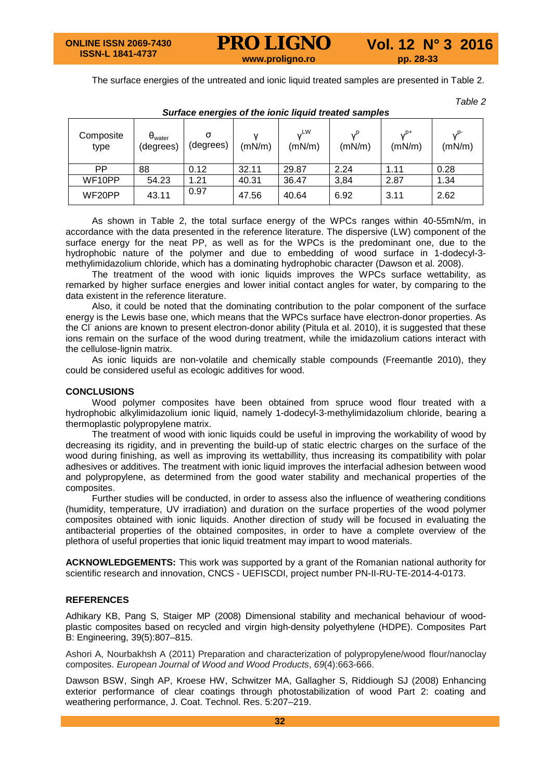The surface energies of the untreated and ionic liquid treated samples are presented in Table 2.

*Table 2*

| $-$ <i>ania</i> $-$ <i>oniongi</i> $-$ on |                                      |           |        |                      |        |                    |                   |  |  |  |
|-------------------------------------------|--------------------------------------|-----------|--------|----------------------|--------|--------------------|-------------------|--|--|--|
| Composite<br>type                         | $\theta_{\text{water}}$<br>(degrees) | (degrees) | (mN/m) | <b>VLW</b><br>(mN/m) | (mN/m) | $v^{p+}$<br>(mN/m) | $v^{p}$<br>(mN/m) |  |  |  |
| РP                                        | 88                                   | 0.12      | 32.11  | 29.87                | 2.24   | 1.11               | 0.28              |  |  |  |
| WF10PP                                    | 54.23                                | 1.21      | 40.31  | 36.47                | 3,84   | 2.87               | 1.34              |  |  |  |
| WF20PP                                    | 43.11                                | 0.97      | 47.56  | 40.64                | 6.92   | 3.11               | 2.62              |  |  |  |

*Surface energies of the ionic liquid treated samples*

As shown in Table 2, the total surface energy of the WPCs ranges within 40-55mN/m, in accordance with the data presented in the reference literature. The dispersive (LW) component of the surface energy for the neat PP, as well as for the WPCs is the predominant one, due to the hydrophobic nature of the polymer and due to embedding of wood surface in 1-dodecyl-3 methylimidazolium chloride, which has a dominating hydrophobic character (Dawson et al. 2008).

The treatment of the wood with ionic liquids improves the WPCs surface wettability, as remarked by higher surface energies and lower initial contact angles for water, by comparing to the data existent in the reference literature.

Also, it could be noted that the dominating contribution to the polar component of the surface energy is the Lewis base one, which means that the WPCs surface have electron-donor properties. As the CI<sup>-</sup> anions are known to present electron-donor ability (Pitula et al. 2010), it is suggested that these ions remain on the surface of the wood during treatment, while the imidazolium cations interact with the cellulose-lignin matrix.

As ionic liquids are non-volatile and chemically stable compounds (Freemantle 2010), they could be considered useful as ecologic additives for wood.

#### **CONCLUSIONS**

Wood polymer composites have been obtained from spruce wood flour treated with a hydrophobic alkylimidazolium ionic liquid, namely 1-dodecyl-3-methylimidazolium chloride, bearing a thermoplastic polypropylene matrix.

The treatment of wood with ionic liquids could be useful in improving the workability of wood by decreasing its rigidity, and in preventing the build-up of static electric charges on the surface of the wood during finishing, as well as improving its wettabillity, thus increasing its compatibility with polar adhesives or additives. The treatment with ionic liquid improves the interfacial adhesion between wood and polypropylene, as determined from the good water stability and mechanical properties of the composites.

Further studies will be conducted, in order to assess also the influence of weathering conditions (humidity, temperature, UV irradiation) and duration on the surface properties of the wood polymer composites obtained with ionic liquids. Another direction of study will be focused in evaluating the antibacterial properties of the obtained composites, in order to have a complete overview of the plethora of useful properties that ionic liquid treatment may impart to wood materials.

**ACKNOWLEDGEMENTS:** This work was supported by a grant of the Romanian national authority for scientific research and innovation, CNCS - UEFISCDI, project number PN-II-RU-TE-2014-4-0173.

#### **REFERENCES**

Adhikary KB, Pang S, Staiger MP (2008) Dimensional stability and mechanical behaviour of woodplastic composites based on recycled and virgin high-density polyethylene (HDPE). Composites Part B: Engineering, 39(5):807–815.

Ashori A, Nourbakhsh A (2011) Preparation and characterization of polypropylene/wood flour/nanoclay composites. *European Journal of Wood and Wood Products*, *69*(4):663-666.

Dawson BSW, Singh AP, Kroese HW, Schwitzer MA, Gallagher S, Riddiough SJ (2008) Enhancing exterior performance of clear coatings through photostabilization of wood Part 2: coating and weathering performance, J. Coat. Technol. Res. 5:207–219.